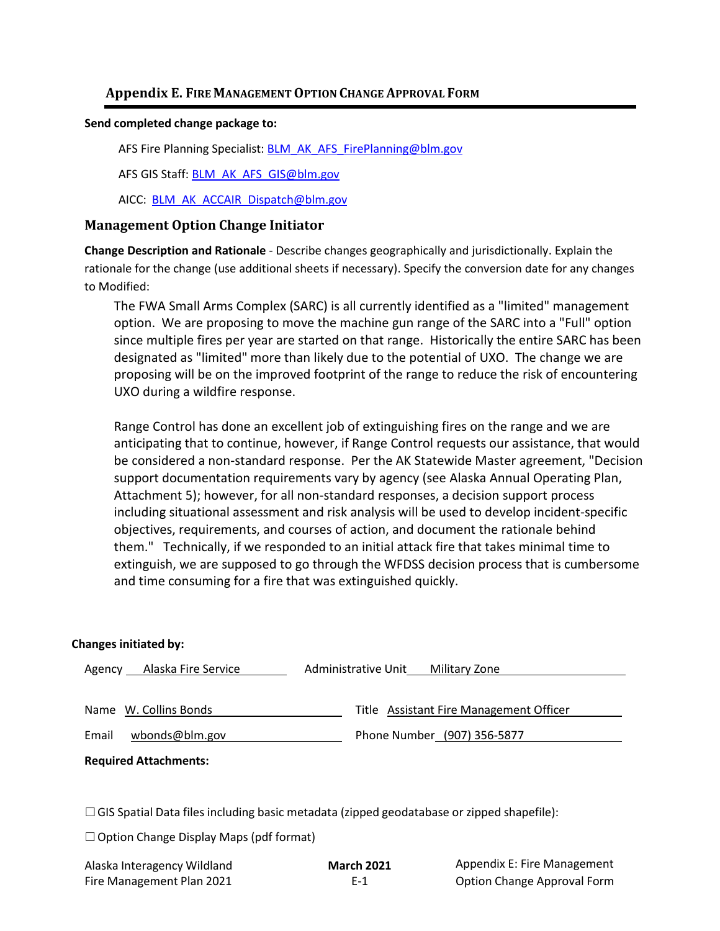## **Appendix E. FIRE MANAGEMENTOPTION CHANGE APPROVAL FORM**

#### **Send completed change package to:**

AFS Fire Planning Specialist: [BLM\\_AK\\_AFS\\_FirePlanning@blm.gov](mailto:BLM_AK_AFS_FirePlanning@blm.gov)

AFS GIS Staff: [BLM\\_AK\\_AFS\\_GIS@blm.gov](mailto:BLM_AK_AFS_GIS@blm.gov)

AICC: [BLM\\_AK\\_ACCAIR\\_Dispatch@blm.gov](mailto:BLM_AK_ACCAIR_Dispatch@blm.gov)

### **Management Option Change Initiator**

**Change Description and Rationale** - Describe changes geographically and jurisdictionally. Explain the rationale for the change (use additional sheets if necessary). Specify the conversion date for any changes to Modified:

The FWA Small Arms Complex (SARC) is all currently identified as a "limited" management option. We are proposing to move the machine gun range of the SARC into a "Full" option since multiple fires per year are started on that range. Historically the entire SARC has been designated as "limited" more than likely due to the potential of UXO. The change we are proposing will be on the improved footprint of the range to reduce the risk of encountering UXO during a wildfire response.

Range Control has done an excellent job of extinguishing fires on the range and we are anticipating that to continue, however, if Range Control requests our assistance, that would be considered a non-standard response. Per the AK Statewide Master agreement, "Decision support documentation requirements vary by agency (see Alaska Annual Operating Plan, Attachment 5); however, for all non-standard responses, a decision support process including situational assessment and risk analysis will be used to develop incident-specific objectives, requirements, and courses of action, and document the rationale behind them." Technically, if we responded to an initial attack fire that takes minimal time to extinguish, we are supposed to go through the WFDSS decision process that is cumbersome and time consuming for a fire that was extinguished quickly.

### **Changes initiated by:**

| Alaska Fire Service<br>Agency | Administrative Unit<br>Military Zone    |
|-------------------------------|-----------------------------------------|
|                               |                                         |
| Name W. Collins Bonds         | Title Assistant Fire Management Officer |
| wbonds@blm.gov<br>Email       | Phone Number (907) 356-5877             |
| <b>Required Attachments:</b>  |                                         |

 $\Box$ GIS Spatial Data files including basic metadata (zipped geodatabase or zipped shapefile):

 $\Box$  Option Change Display Maps (pdf format)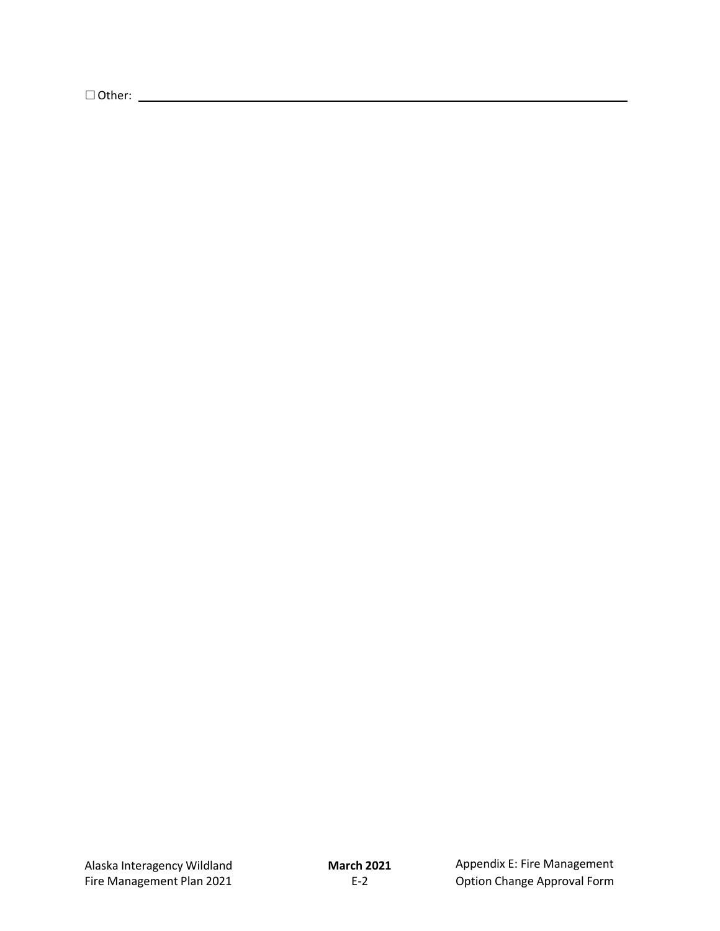☐Other: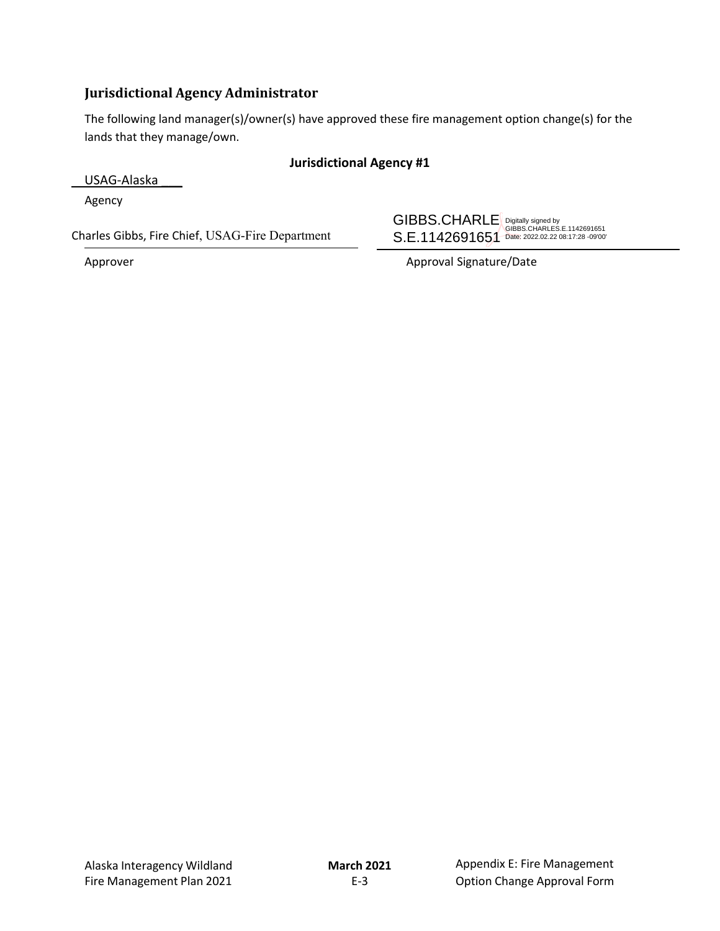# **Jurisdictional Agency Administrator**

The following land manager(s)/owner(s) have approved these fire management option change(s) for the lands that they manage/own.

## **Jurisdictional Agency #1**

USAG-Alaska \_\_\_

Agency

Charles Gibbs, Fire Chief, USAG-Fire Department

GIBBS.CHARLE S.E.1142691651 Digitally signed by GIBBS.CHARLES.E.1142691651 Date: 2022.02.22 08:17:28 -09'00'

Approver Approver Approval Signature/Date